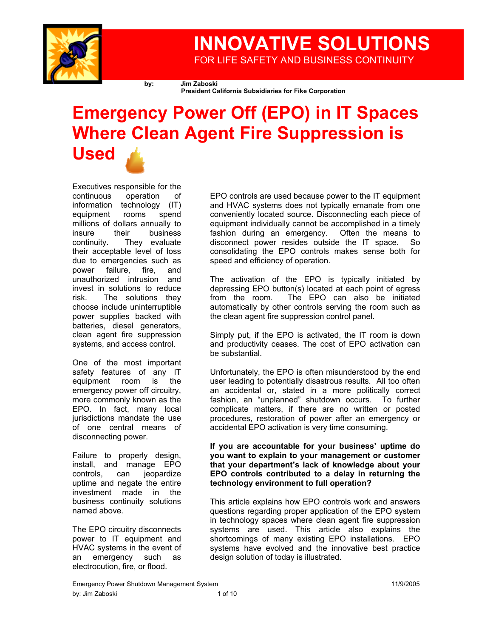

## **INNOVATIVE SOLUTIONS**  FOR LIFE SAFETY AND BUSINESS CONTINUITY

**by: Jim Zaboski** 

**President California Subsidiaries for Fike Corporation** 

# **Emergency Power Off (EPO) in IT Spaces Where Clean Agent Fire Suppression is Used**

Executives responsible for the continuous operation of information technology (IT) equipment rooms spend millions of dollars annually to insure their business continuity. They evaluate their acceptable level of loss due to emergencies such as power failure, fire, and unauthorized intrusion and invest in solutions to reduce risk. The solutions they choose include uninterruptible power supplies backed with batteries, diesel generators, clean agent fire suppression systems, and access control.

One of the most important safety features of any IT equipment room is the emergency power off circuitry, more commonly known as the EPO. In fact, many local jurisdictions mandate the use of one central means of disconnecting power.

Failure to properly design, install, and manage EPO controls, can jeopardize uptime and negate the entire investment made in the business continuity solutions named above.

The EPO circuitry disconnects power to IT equipment and HVAC systems in the event of an emergency such as electrocution, fire, or flood.

EPO controls are used because power to the IT equipment and HVAC systems does not typically emanate from one conveniently located source. Disconnecting each piece of equipment individually cannot be accomplished in a timely fashion during an emergency. Often the means to disconnect power resides outside the IT space. So consolidating the EPO controls makes sense both for speed and efficiency of operation.

The activation of the EPO is typically initiated by depressing EPO button(s) located at each point of egress from the room. The EPO can also be initiated automatically by other controls serving the room such as the clean agent fire suppression control panel.

Simply put, if the EPO is activated, the IT room is down and productivity ceases. The cost of EPO activation can be substantial.

Unfortunately, the EPO is often misunderstood by the end user leading to potentially disastrous results. All too often an accidental or, stated in a more politically correct fashion, an "unplanned" shutdown occurs. To further complicate matters, if there are no written or posted procedures, restoration of power after an emergency or accidental EPO activation is very time consuming.

**If you are accountable for your business' uptime do you want to explain to your management or customer that your department's lack of knowledge about your EPO controls contributed to a delay in returning the technology environment to full operation?**

This article explains how EPO controls work and answers questions regarding proper application of the EPO system in technology spaces where clean agent fire suppression systems are used. This article also explains the shortcomings of many existing EPO installations. EPO systems have evolved and the innovative best practice design solution of today is illustrated.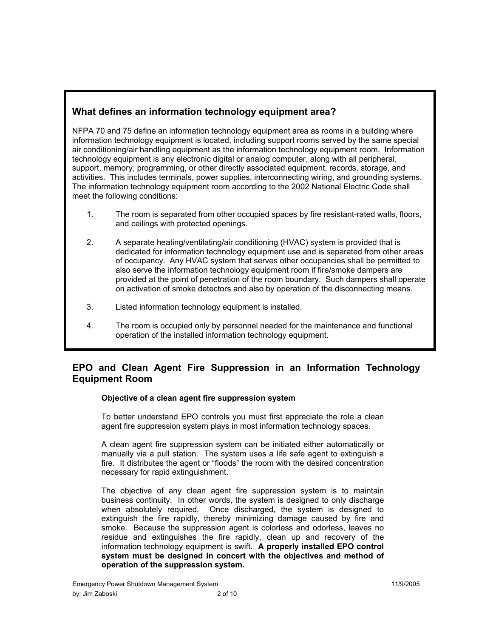## **What defines an information technology equipment area?**

NFPA 70 and 75 define an information technology equipment area as rooms in a building where information technology equipment is located, including support rooms served by the same special air conditioning/air handling equipment as the information technology equipment room. Information technology equipment is any electronic digital or analog computer, along with all peripheral, support, memory, programming, or other directly associated equipment, records, storage, and activities. This includes terminals, power supplies, interconnecting wiring, and grounding systems. The information technology equipment room according to the 2002 National Electric Code shall meet the following conditions:

- 1. The room is separated from other occupied spaces by fire resistant-rated walls, floors, and ceilings with protected openings.
- 2. A separate heating/ventilating/air conditioning (HVAC) system is provided that is dedicated for information technology equipment use and is separated from other areas of occupancy. Any HVAC system that serves other occupancies shall be permitted to also serve the information technology equipment room if fire/smoke dampers are provided at the point of penetration of the room boundary. Such dampers shall operate on activation of smoke detectors and also by operation of the disconnecting means.
- 3. Listed information technology equipment is installed.
- 4. The room is occupied only by personnel needed for the maintenance and functional operation of the installed information technology equipment.

## **EPO and Clean Agent Fire Suppression in an Information Technology Equipment Room**

## **Objective of a clean agent fire suppression system**

To better understand EPO controls you must first appreciate the role a clean agent fire suppression system plays in most information technology spaces.

A clean agent fire suppression system can be initiated either automatically or manually via a pull station. The system uses a life safe agent to extinguish a fire. It distributes the agent or "floods" the room with the desired concentration necessary for rapid extinguishment.

The objective of any clean agent fire suppression system is to maintain business continuity. In other words, the system is designed to only discharge when absolutely required. Once discharged, the system is designed to extinguish the fire rapidly, thereby minimizing damage caused by fire and smoke. Because the suppression agent is colorless and odorless, leaves no residue and extinguishes the fire rapidly, clean up and recovery of the information technology equipment is swift. **A properly installed EPO control system must be designed in concert with the objectives and method of operation of the suppression system.**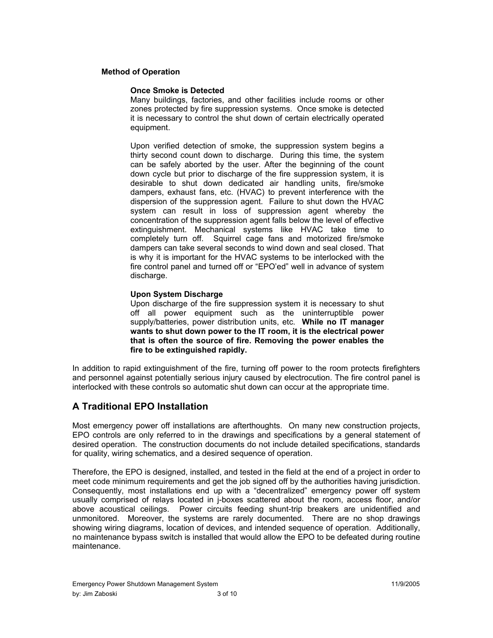#### **Method of Operation**

#### **Once Smoke is Detected**

Many buildings, factories, and other facilities include rooms or other zones protected by fire suppression systems. Once smoke is detected it is necessary to control the shut down of certain electrically operated equipment.

Upon verified detection of smoke, the suppression system begins a thirty second count down to discharge. During this time, the system can be safely aborted by the user. After the beginning of the count down cycle but prior to discharge of the fire suppression system, it is desirable to shut down dedicated air handling units, fire/smoke dampers, exhaust fans, etc. (HVAC) to prevent interference with the dispersion of the suppression agent. Failure to shut down the HVAC system can result in loss of suppression agent whereby the concentration of the suppression agent falls below the level of effective extinguishment. Mechanical systems like HVAC take time to completely turn off. Squirrel cage fans and motorized fire/smoke dampers can take several seconds to wind down and seal closed. That is why it is important for the HVAC systems to be interlocked with the fire control panel and turned off or "EPO'ed" well in advance of system discharge.

#### **Upon System Discharge**

Upon discharge of the fire suppression system it is necessary to shut off all power equipment such as the uninterruptible power supply/batteries, power distribution units, etc. **While no IT manager wants to shut down power to the IT room, it is the electrical power that is often the source of fire. Removing the power enables the fire to be extinguished rapidly.** 

In addition to rapid extinguishment of the fire, turning off power to the room protects firefighters and personnel against potentially serious injury caused by electrocution. The fire control panel is interlocked with these controls so automatic shut down can occur at the appropriate time.

## **A Traditional EPO Installation**

Most emergency power off installations are afterthoughts. On many new construction projects, EPO controls are only referred to in the drawings and specifications by a general statement of desired operation. The construction documents do not include detailed specifications, standards for quality, wiring schematics, and a desired sequence of operation.

Therefore, the EPO is designed, installed, and tested in the field at the end of a project in order to meet code minimum requirements and get the job signed off by the authorities having jurisdiction. Consequently, most installations end up with a "decentralized" emergency power off system usually comprised of relays located in j-boxes scattered about the room, access floor, and/or above acoustical ceilings. Power circuits feeding shunt-trip breakers are unidentified and unmonitored. Moreover, the systems are rarely documented. There are no shop drawings showing wiring diagrams, location of devices, and intended sequence of operation. Additionally, no maintenance bypass switch is installed that would allow the EPO to be defeated during routine maintenance.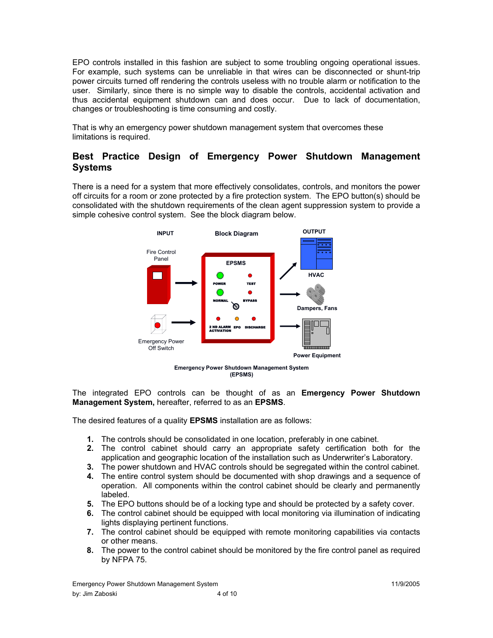EPO controls installed in this fashion are subject to some troubling ongoing operational issues. For example, such systems can be unreliable in that wires can be disconnected or shunt-trip power circuits turned off rendering the controls useless with no trouble alarm or notification to the user. Similarly, since there is no simple way to disable the controls, accidental activation and thus accidental equipment shutdown can and does occur. Due to lack of documentation, changes or troubleshooting is time consuming and costly.

That is why an emergency power shutdown management system that overcomes these limitations is required.

## **Best Practice Design of Emergency Power Shutdown Management Systems**

There is a need for a system that more effectively consolidates, controls, and monitors the power off circuits for a room or zone protected by a fire protection system. The EPO button(s) should be consolidated with the shutdown requirements of the clean agent suppression system to provide a simple cohesive control system. See the block diagram below.



**Emergency Power Shutdown Management System (EPSMS)** 

The integrated EPO controls can be thought of as an **Emergency Power Shutdown Management System,** hereafter, referred to as an **EPSMS**.

The desired features of a quality **EPSMS** installation are as follows:

- **1.** The controls should be consolidated in one location, preferably in one cabinet.
- **2.** The control cabinet should carry an appropriate safety certification both for the application and geographic location of the installation such as Underwriter's Laboratory.
- **3.** The power shutdown and HVAC controls should be segregated within the control cabinet.
- **4.** The entire control system should be documented with shop drawings and a sequence of operation. All components within the control cabinet should be clearly and permanently labeled.
- **5.** The EPO buttons should be of a locking type and should be protected by a safety cover.
- **6.** The control cabinet should be equipped with local monitoring via illumination of indicating lights displaying pertinent functions.
- **7.** The control cabinet should be equipped with remote monitoring capabilities via contacts or other means.
- **8.** The power to the control cabinet should be monitored by the fire control panel as required by NFPA 75.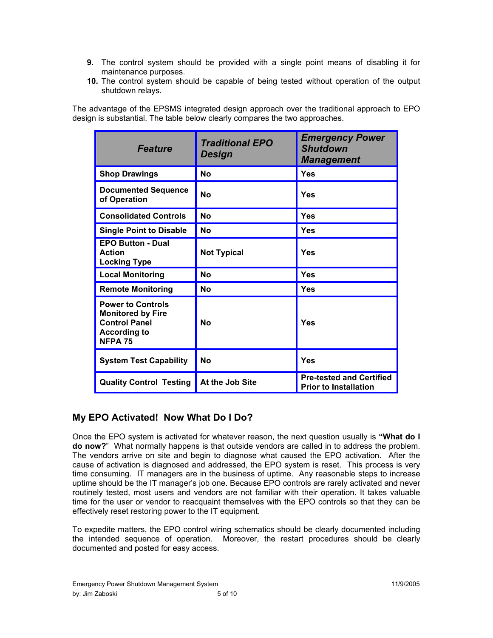- **9.** The control system should be provided with a single point means of disabling it for maintenance purposes.
- **10.** The control system should be capable of being tested without operation of the output shutdown relays.

The advantage of the EPSMS integrated design approach over the traditional approach to EPO design is substantial. The table below clearly compares the two approaches.

| <b>Feature</b>                                                                                                        | <b>Traditional EPO</b><br>Design | <b>Emergency Power</b><br><b>Shutdown</b><br><b>Management</b>  |
|-----------------------------------------------------------------------------------------------------------------------|----------------------------------|-----------------------------------------------------------------|
| <b>Shop Drawings</b>                                                                                                  | Nο                               | Yes                                                             |
| <b>Documented Sequence</b><br>of Operation                                                                            | Nο                               | Yes                                                             |
| <b>Consolidated Controls</b>                                                                                          | No                               | Yes                                                             |
| <b>Single Point to Disable</b>                                                                                        | <b>No</b>                        | Yes                                                             |
| <b>EPO Button - Dual</b><br><b>Action</b><br><b>Locking Type</b>                                                      | <b>Not Typical</b>               | Yes                                                             |
| <b>Local Monitoring</b>                                                                                               | No                               | <b>Yes</b>                                                      |
| <b>Remote Monitoring</b>                                                                                              | No                               | Yes                                                             |
| <b>Power to Controls</b><br><b>Monitored by Fire</b><br><b>Control Panel</b><br><b>According to</b><br><b>NFPA 75</b> | <b>No</b>                        | Yes                                                             |
| <b>System Test Capability</b>                                                                                         | Nο                               | Yes                                                             |
| <b>Quality Control Testing</b>                                                                                        | At the Job Site                  | <b>Pre-tested and Certified</b><br><b>Prior to Installation</b> |

## **My EPO Activated! Now What Do I Do?**

Once the EPO system is activated for whatever reason, the next question usually is **"What do I do now?**" What normally happens is that outside vendors are called in to address the problem. The vendors arrive on site and begin to diagnose what caused the EPO activation. After the cause of activation is diagnosed and addressed, the EPO system is reset. This process is very time consuming. IT managers are in the business of uptime. Any reasonable steps to increase uptime should be the IT manager's job one. Because EPO controls are rarely activated and never routinely tested, most users and vendors are not familiar with their operation. It takes valuable time for the user or vendor to reacquaint themselves with the EPO controls so that they can be effectively reset restoring power to the IT equipment.

To expedite matters, the EPO control wiring schematics should be clearly documented including the intended sequence of operation. Moreover, the restart procedures should be clearly documented and posted for easy access.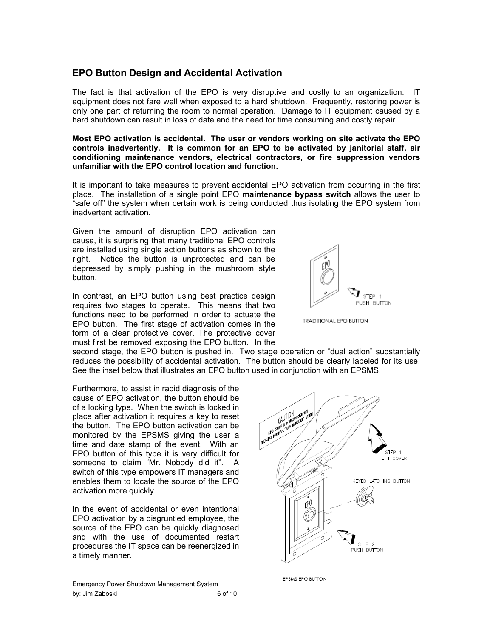## **EPO Button Design and Accidental Activation**

The fact is that activation of the EPO is very disruptive and costly to an organization. IT equipment does not fare well when exposed to a hard shutdown. Frequently, restoring power is only one part of returning the room to normal operation. Damage to IT equipment caused by a hard shutdown can result in loss of data and the need for time consuming and costly repair.

**Most EPO activation is accidental. The user or vendors working on site activate the EPO controls inadvertently. It is common for an EPO to be activated by janitorial staff, air conditioning maintenance vendors, electrical contractors, or fire suppression vendors unfamiliar with the EPO control location and function.** 

It is important to take measures to prevent accidental EPO activation from occurring in the first place. The installation of a single point EPO **maintenance bypass switch** allows the user to "safe off" the system when certain work is being conducted thus isolating the EPO system from inadvertent activation.

Given the amount of disruption EPO activation can cause, it is surprising that many traditional EPO controls are installed using single action buttons as shown to the right. Notice the button is unprotected and can be depressed by simply pushing in the mushroom style button.

In contrast, an EPO button using best practice design requires two stages to operate. This means that two functions need to be performed in order to actuate the EPO button. The first stage of activation comes in the form of a clear protective cover. The protective cover must first be removed exposing the EPO button. In the

second stage, the EPO button is pushed in. Two stage operation or "dual action" substantially reduces the possibility of accidental activation. The button should be clearly labeled for its use. See the inset below that illustrates an EPO button used in conjunction with an EPSMS.

Furthermore, to assist in rapid diagnosis of the cause of EPO activation, the button should be of a locking type. When the switch is locked in place after activation it requires a key to reset the button. The EPO button activation can be monitored by the EPSMS giving the user a time and date stamp of the event. With an EPO button of this type it is very difficult for someone to claim "Mr. Nobody did it". A switch of this type empowers IT managers and enables them to locate the source of the EPO activation more quickly.

In the event of accidental or even intentional EPO activation by a disgruntled employee, the source of the EPO can be quickly diagnosed and with the use of documented restart procedures the IT space can be reenergized in a timely manner.

Emergency Power Shutdown Management System by: Jim Zaboski 6 of 10



**FPSMS FPO BUTTON** 



**TRADITIONAL EPO BUTTON**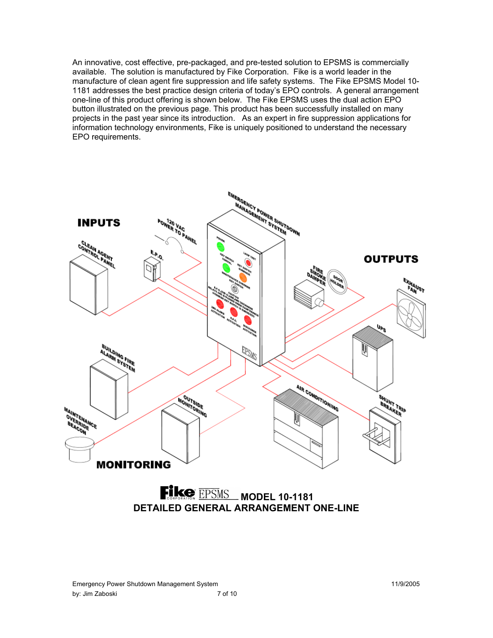An innovative, cost effective, pre-packaged, and pre-tested solution to EPSMS is commercially available. The solution is manufactured by Fike Corporation. Fike is a world leader in the manufacture of clean agent fire suppression and life safety systems. The Fike EPSMS Model 10- 1181 addresses the best practice design criteria of today's EPO controls. A general arrangement one-line of this product offering is shown below. The Fike EPSMS uses the dual action EPO button illustrated on the previous page. This product has been successfully installed on many projects in the past year since its introduction. As an expert in fire suppression applications for information technology environments, Fike is uniquely positioned to understand the necessary EPO requirements.

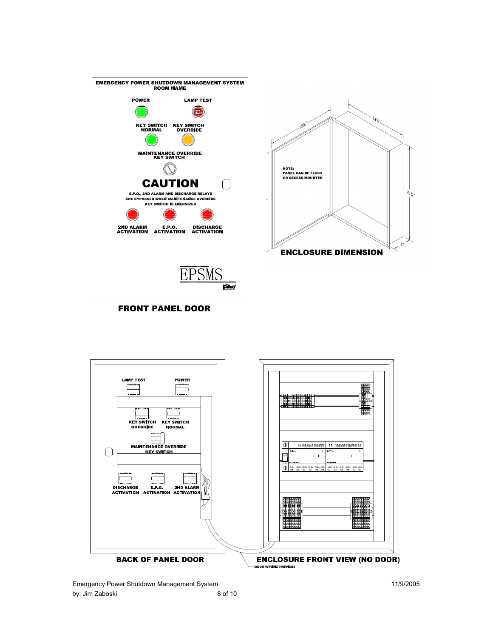![](_page_7_Figure_0.jpeg)

![](_page_7_Figure_1.jpeg)

![](_page_7_Figure_2.jpeg)

Emergency Power Shutdown Management System 11/9/2005 by: Jim Zaboski 8 of 10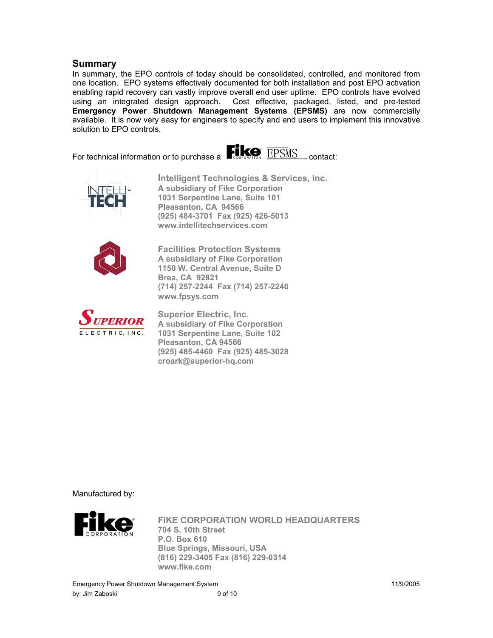## **Summary**

In summary, the EPO controls of today should be consolidated, controlled, and monitored from one location. EPO systems effectively documented for both installation and post EPO activation enabling rapid recovery can vastly improve overall end user uptime. EPO controls have evolved using an integrated design approach. Cost effective, packaged, listed, and pre-tested **Emergency Power Shutdown Management Systems (EPSMS)** are now commercially available. It is now very easy for engineers to specify and end users to implement this innovative solution to EPO controls.

![](_page_8_Picture_2.jpeg)

![](_page_8_Picture_3.jpeg)

**Intelligent Technologies & Services, Inc. A subsidiary of Fike Corporation 1031 Serpentine Lane, Suite 101 Pleasanton, CA 94566 (925) 484-3701 Fax (925) 426-5013 www.intellitechservices.com** 

![](_page_8_Picture_5.jpeg)

**Facilities Protection Systems A subsidiary of Fike Corporation 1150 W. Central Avenue, Suite D Brea, CA 92821 (714) 257-2244 Fax (714) 257-2240 www.fpsys.com** 

![](_page_8_Picture_7.jpeg)

**Superior Electric, Inc. A subsidiary of Fike Corporation 1031 Serpentine Lane, Suite 102 Pleasanton, CA 94566 (925) 485-4460 Fax (925) 485-3028 croark@superior-hq.com** 

Manufactured by:

![](_page_8_Picture_10.jpeg)

**FIKE CORPORATION WORLD HEADQUARTERS 704 S. 10th Street P.O. Box 610 Blue Springs, Missouri, USA (816) 229-3405 Fax (816) 229-0314 www.fike.com**